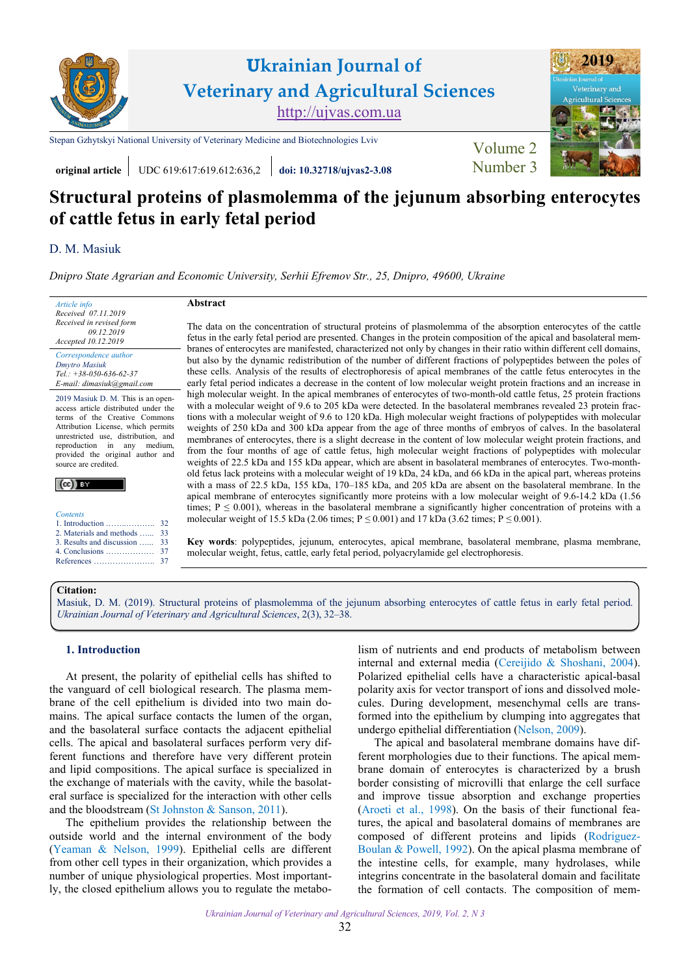

**Structural proteins of plasmolemma of the jejunum absorbing enterocytes of cattle fetus in early fetal period**

# D. M. [Masiuk](http://orcid.org/0000-0002-2800-2580)

*[Dnipro State Agrarian and Economic University,](https://www.dsau.dp.ua/) Serhii Efremov Str., 25, Dnipro, 49600, Ukraine*

**Abstract** *Article info Received 07.11.2019 Received in revised form*  The data on the concentration of structural proteins of plasmolemma of the absorption enterocytes of the cattle  *09.12.2019* fetus in the early fetal period are presented. Changes in the protein composition of the apical and basolateral mem-*Accepted 10.12.2019* branes of enterocytes are manifested, characterized not only by changes in their ratio within different cell domains, *Correspondence author* but also by the dynamic redistribution of the number of different fractions of polypeptides between the poles of *[Dmytro](https://scholar.google.com.ua/citations?hl=uk&user=8rcJgR4AAAAJ) Masiuk* these cells. Analysis of the results of electrophoresis of apical membranes of the cattle fetus enterocytes in the *Tel.: +38-050-636-62-37* early fetal period indicates a decrease in the content of low molecular weight protein fractions and an increase in *E-mail: dimasiuk@gmail.com* high molecular weight. In the apical membranes of enterocytes of two-month-old cattle fetus, 25 protein fractions 2019 Masiuk D. M. This is an openwith a molecular weight of 9.6 to 205 kDa were detected. In the basolateral membranes revealed 23 protein fracaccess article distributed under the tions with a molecular weight of 9.6 to 120 kDa. High molecular weight fractions of polypeptides with molecular terms of the Creative Commons Attribution License, which permits weights of 250 kDa and 300 kDa appear from the age of three months of embryos of calves. In the basolateral unrestricted use, distribution, and membranes of enterocytes, there is a slight decrease in the content of low molecular weight protein fractions, and reproduction in any medium, from the four months of age of cattle fetus, high molecular weight fractions of polypeptides with molecular provided the original author and weights of 22.5 kDa and 155 kDa appear, which are absent in basolateral membranes of enterocytes. Two-monthsource are credited. old fetus lack proteins with a molecular weight of 19 kDa, 24 kDa, and 66 kDa in the apical part, whereas proteins  $(cc)$  by with a mass of 22.5 kDa, 155 kDa, 170–185 kDa, and 205 kDa are absent on the basolateral membrane. In the apical membrane of enterocytes significantly more proteins with a low molecular weight of 9.6-14.2 kDa (1.56 times;  $P \le 0.001$ ), whereas in the basolateral membrane a significantly higher concentration of proteins with a *Contents* molecular weight of 15.5 kDa (2.06 times;  $P \le 0.001$ ) and 17 kDa (3.62 times;  $P \le 0.001$ ). 1. Introduction ……..……….. 32 [2. Materials and methods](#page-1-0) …... [33](#page-1-0)

**Key words**: polypeptides, jejunum, enterocytes, apical membrane, basolateral membrane, plasma membrane, molecular weight, fetus, cattle, early fetal period, polyacrylamide gel electrophoresis.

#### **Citation:**

Masiuk, D. M. [\(2019\). Structural proteins of plasmolemma of the jejunum absorbing enterocytes of cattle fetus in early fetal period.](https://doi.org/10.32718/ujvas2-3.08) *Ukrainian Journal of Veterinary and Agricultural Sciences*, 2(3), 32–38.

## **1. Introduction**

[3. Results and discussion](#page-1-0) …... 4. Conclusions [………………](#page-5-0) References […………………..](#page-5-0) [37](#page-5-0)

[33](#page-1-0) [37](#page-5-0)

At present, the polarity of epithelial cells has shifted to the vanguard of cell biological research. The plasma membrane of the cell epithelium is divided into two main domains. The apical surface contacts the lumen of the organ, and the basolateral surface contacts the adjacent epithelial cells. The apical and basolateral surfaces perform very different functions and therefore have very different protein and lipid compositions. The apical surface is specialized in the exchange of materials with the cavity, while the basolateral surface is specialized for the interaction with other cells and the bloodstream (St Johnston & [Sanson, 2011\)](#page-5-0).

The epithelium provides the relationship between the outside world and the internal environment of the body (Yeaman & [Nelson, 1999](#page-5-0)). Epithelial cells are different from other cell types in their organization, which provides a number of unique physiological properties. Most importantly, the closed epithelium allows you to regulate the metabo-

lism of nutrients and end products of metabolism between internal and external media (Cereijido & [Shoshani,](#page-5-0) 2004). Polarized epithelial cells have a characteristic apical-basal polarity axis for vector transport of ions and dissolved molecules. During development, mesenchymal cells are transformed into the epithelium by clumping into aggregates that undergo epithelial differentiation ([Nelson, 2009](#page-5-0)).

The apical and basolateral membrane domains have different morphologies due to their functions. The apical membrane domain of enterocytes is characterized by a brush border consisting of microvilli that enlarge the cell surface and improve tissue absorption and exchange properties [\(Aroeti et al., 1998](#page-5-0)). On the basis of their functional features, the apical and basolateral domains of membranes are composed of different proteins and lipids ([Rodriguez](#page-5-0)-Boulan & [Powell, 1992\)](#page-5-0). On the apical plasma membrane of the intestine cells, for example, many hydrolases, while integrins concentrate in the basolateral domain and facilitate the formation of cell contacts. The composition of mem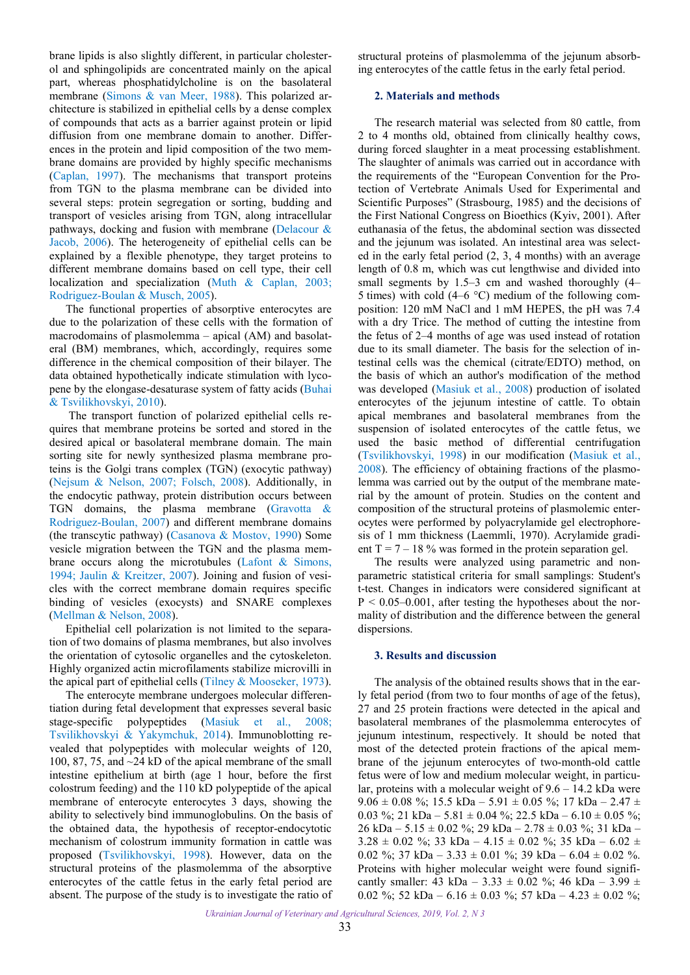<span id="page-1-0"></span>brane lipids is also slightly different, in particular cholesterol and sphingolipids are concentrated mainly on the apical part, whereas phosphatidylcholine is on the basolateral membrane (Simons & [van Meer, 1988](#page-5-0)). This polarized architecture is stabilized in epithelial cells by a dense complex of compounds that acts as a barrier against protein or lipid diffusion from one membrane domain to another. Differences in the protein and lipid composition of the two membrane domains are provided by highly specific mechanisms ([Caplan, 1997\)](#page-5-0). The mechanisms that transport proteins from TGN to the plasma membrane can be divided into several steps: protein segregation or sorting, budding and transport of vesicles arising from TGN, along intracellular pathways, docking and fusion with membrane [\(Delacour &](#page-5-0) [Jacob, 2006](#page-5-0)). The heterogeneity of epithelial cells can be explained by a flexible phenotype, they target proteins to different membrane domains based on cell type, their cell localization and specialization (Muth & [Caplan, 2003;](#page-5-0) [Rodriguez-Boulan](#page-5-0) & Musch, 2005).

The functional properties of absorptive enterocytes are due to the polarization of these cells with the formation of macrodomains of plasmolemma – apical (AM) and basolateral (BM) membranes, which, accordingly, requires some difference in the chemical composition of their bilayer. The data obtained hypothetically indicate stimulation with lycopene by the elongase-desaturase system of fatty acids [\(Buhai](#page-5-0) & [Tsvilikhovskyi,](#page-5-0) 2010).

The transport function of polarized epithelial cells requires that membrane proteins be sorted and stored in the desired apical or basolateral membrane domain. The main sorting site for newly synthesized plasma membrane proteins is the Golgi trans complex (TGN) (exocytic pathway) (Nejsum & [Nelson, 2007](#page-5-0); [Folsch, 2008](#page-5-0)). Additionally, in the endocytic pathway, protein distribution occurs between TGN domains, the plasma membrane ([Gravotta](#page-5-0) & [Rodriguez-Boulan,](#page-5-0) 2007) and different membrane domains (the transcytic pathway) [\(Casanova](#page-5-0) & Mostov, 1990) Some vesicle migration between the TGN and the plasma membrane occurs along the microtubules (Lafont & [Simons,](#page-5-0) [1994;](#page-5-0) Jaulin & [Kreitzer,](#page-5-0) 2007). Joining and fusion of vesicles with the correct membrane domain requires specific binding of vesicles (exocysts) and SNARE complexes (Mellman & [Nelson, 2008](#page-5-0)).

Epithelial cell polarization is not limited to the separation of two domains of plasma membranes, but also involves the orientation of cytosolic organelles and the cytoskeleton. Highly organized actin microfilaments stabilize microvilli in the apical part of epithelial cells (Tilney & [Mooseker, 1973](#page-5-0)).

The enterocyte membrane undergoes molecular differentiation during fetal development that expresses several basic stage-specific polypeptides (Masiuk [et al.,](#page-5-0) 2008; [Tsvilikhovskyi](#page-5-0) & Yakymchuk, 2014). Immunoblotting revealed that polypeptides with molecular weights of 120, 100, 87, 75, and ~24 kD of the apical membrane of the small intestine epithelium at birth (age 1 hour, before the first colostrum feeding) and the 110 kD polypeptide of the apical membrane of enterocyte enterocytes 3 days, showing the ability to selectively bind immunoglobulins. On the basis of the obtained data, the hypothesis of receptor-endocytotic mechanism of colostrum immunity formation in cattle was proposed ([Tsvilikhovskyi, 1998\)](#page-5-0). However, data on the structural proteins of the plasmolemma of the absorptive enterocytes of the cattle fetus in the early fetal period are absent. The purpose of the study is to investigate the ratio of structural proteins of plasmolemma of the jejunum absorbing enterocytes of the cattle fetus in the early fetal period.

### **2. Materials and methods**

The research material was selected from 80 cattle, from 2 to 4 months old, obtained from clinically healthy cows, during forced slaughter in a meat processing establishment. The slaughter of animals was carried out in accordance with the requirements of the "European Convention for the Protection of Vertebrate Animals Used for Experimental and Scientific Purposes" (Strasbourg, 1985) and the decisions of the First National Congress on Bioethics (Kyiv, 2001). After euthanasia of the fetus, the abdominal section was dissected and the jejunum was isolated. An intestinal area was selected in the early fetal period (2, 3, 4 months) with an average length of 0.8 m, which was cut lengthwise and divided into small segments by 1.5–3 cm and washed thoroughly (4– 5 times) with cold  $(4-6 \degree C)$  medium of the following composition: 120 mM NaCl and 1 mM HEPES, the pH was 7.4 with a dry Trice. The method of cutting the intestine from the fetus of 2–4 months of age was used instead of rotation due to its small diameter. The basis for the selection of intestinal cells was the chemical (citrate/EDTO) method, on the basis of which an author's modification of the method was developed (Masiuk [et al., 2008](#page-5-0)) production of isolated enterocytes of the jejunum intestine of cattle. To obtain apical membranes and basolateral membranes from the suspension of isolated enterocytes of the cattle fetus, we used the basic method of differential centrifugation [\(Tsvilikhovskyi,](#page-5-0) 1998) in our modification ([Masiuk](#page-5-0) et al., [2008](#page-5-0)). The efficiency of obtaining fractions of the plasmolemma was carried out by the output of the membrane material by the amount of protein. Studies on the content and composition of the structural proteins of plasmolemic enterocytes were performed by polyacrylamide gel electrophoresis of 1 mm thickness (Laemmli, 1970). Acrylamide gradient  $T = 7 - 18$  % was formed in the protein separation gel.

The results were analyzed using parametric and nonparametric statistical criteria for small samplings: Student's t-test. Changes in indicators were considered significant at  $P < 0.05 - 0.001$ , after testing the hypotheses about the normality of distribution and the difference between the general dispersions.

### **3. Results and discussion**

The analysis of the obtained results shows that in the early fetal period (from two to four months of age of the fetus), 27 and 25 protein fractions were detected in the apical and basolateral membranes of the plasmolemma enterocytes of jejunum intestinum, respectively. It should be noted that most of the detected protein fractions of the apical membrane of the jejunum enterocytes of two-month-old cattle fetus were of low and medium molecular weight, in particular, proteins with a molecular weight of 9.6 – 14.2 kDa were  $9.06 \pm 0.08$  %; 15.5 kDa – 5.91  $\pm$  0.05 %; 17 kDa – 2.47  $\pm$ 0.03 %; 21 kDa – 5.81  $\pm$  0.04 %; 22.5 kDa – 6.10  $\pm$  0.05 %; 26 kDa – 5.15  $\pm$  0.02 %; 29 kDa – 2.78  $\pm$  0.03 %; 31 kDa –  $3.28 \pm 0.02$  %; 33 kDa –  $4.15 \pm 0.02$  %; 35 kDa –  $6.02 \pm 1$ 0.02 %; 37 kDa – 3.33  $\pm$  0.01 %; 39 kDa – 6.04  $\pm$  0.02 %. Proteins with higher molecular weight were found significantly smaller:  $43 \text{ kDa} - 3.33 \pm 0.02 \%$ ;  $46 \text{ kDa} - 3.99 \pm 0.02 \%$ 0.02 %; 52 kDa –  $6.16 \pm 0.03$  %; 57 kDa –  $4.23 \pm 0.02$  %;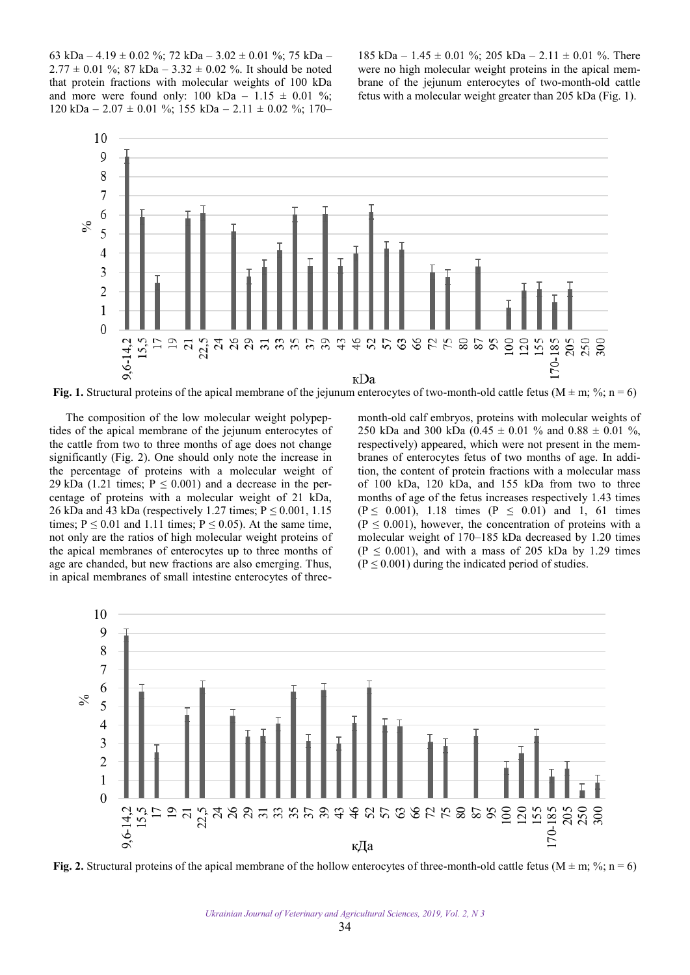63 kDa – 4.19 ± 0.02 %; 72 kDa – 3.02 ± 0.01 %; 75 kDa –  $2.77 \pm 0.01$  %; 87 kDa – 3.32  $\pm$  0.02 %. It should be noted that protein fractions with molecular weights of 100 kDa and more were found only:  $100 \text{ kDa} - 1.15 \pm 0.01 \%$ ;  $120 \text{ kDa} - 2.07 \pm 0.01 \%$ ;  $155 \text{ kDa} - 2.11 \pm 0.02 \%$ ;  $170 -$ 

185 kDa – 1.45  $\pm$  0.01 %; 205 kDa – 2.11  $\pm$  0.01 %. There were no high molecular weight proteins in the apical membrane of the jejunum enterocytes of two-month-old cattle fetus with a molecular weight greater than 205 kDa (Fig. 1).



**Fig. 1.** Structural proteins of the apical membrane of the jejunum enterocytes of two-month-old cattle fetus ( $M \pm m$ ; %; n = 6)

The composition of the low molecular weight polypeptides of the apical membrane of the jejunum enterocytes of the cattle from two to three months of age does not change significantly (Fig. 2). One should only note the increase in the percentage of proteins with a molecular weight of 29 kDa (1.21 times;  $P \le 0.001$ ) and a decrease in the percentage of proteins with a molecular weight of 21 kDa, 26 kDa and 43 kDa (respectively 1.27 times;  $P \le 0.001$ , 1.15 times;  $P \le 0.01$  and 1.11 times;  $P \le 0.05$ ). At the same time, not only are the ratios of high molecular weight proteins of the apical membranes of enterocytes up to three months of age are chanded, but new fractions are also emerging. Thus, in apical membranes of small intestine enterocytes of threemonth-old calf embryos, proteins with molecular weights of 250 kDa and 300 kDa (0.45  $\pm$  0.01 % and 0.88  $\pm$  0.01 %, respectively) appeared, which were not present in the membranes of enterocytes fetus of two months of age. In addition, the content of protein fractions with a molecular mass of 100 kDa, 120 kDa, and 155 kDa from two to three months of age of the fetus increases respectively 1.43 times  $(P \le 0.001)$ , 1.18 times  $(P \le 0.01)$  and 1, 61 times  $(P \le 0.001)$ , however, the concentration of proteins with a molecular weight of 170–185 kDa decreased by 1.20 times  $(P \le 0.001)$ , and with a mass of 205 kDa by 1.29 times  $(P \le 0.001)$  during the indicated period of studies.



**Fig. 2.** Structural proteins of the apical membrane of the hollow enterocytes of three-month-old cattle fetus (M  $\pm$  m; %; n = 6)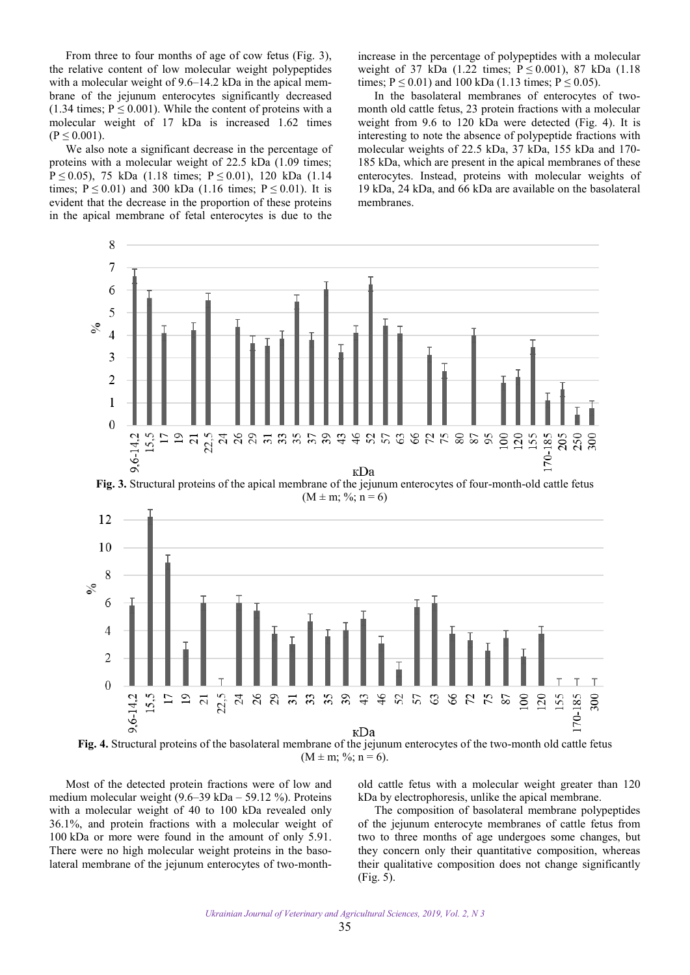From three to four months of age of cow fetus (Fig. 3), the relative content of low molecular weight polypeptides with a molecular weight of 9.6–14.2 kDa in the apical membrane of the jejunum enterocytes significantly decreased (1.34 times;  $P \le 0.001$ ). While the content of proteins with a molecular weight of 17 kDa is increased 1.62 times  $(P \le 0.001)$ .

We also note a significant decrease in the percentage of proteins with a molecular weight of 22.5 kDa (1.09 times; P  $\leq$  0.05), 75 kDa (1.18 times; P  $\leq$  0.01), 120 kDa (1.14 times;  $P \le 0.01$ ) and 300 kDa (1.16 times;  $P \le 0.01$ ). It is evident that the decrease in the proportion of these proteins in the apical membrane of fetal enterocytes is due to the increase in the percentage of polypeptides with a molecular weight of 37 kDa (1.22 times;  $P \le 0.001$ ), 87 kDa (1.18 times;  $P \le 0.01$ ) and 100 kDa (1.13 times;  $P \le 0.05$ ).

In the basolateral membranes of enterocytes of twomonth old cattle fetus, 23 protein fractions with a molecular weight from 9.6 to 120 kDa were detected (Fig. 4). It is interesting to note the absence of polypeptide fractions with molecular weights of 22.5 kDa, 37 kDa, 155 kDa and 170- 185 kDa, which are present in the apical membranes of these enterocytes. Instead, proteins with molecular weights of 19 kDa, 24 kDa, and 66 kDa are available on the basolateral membranes.



 $(M \pm m; \frac{9}{6}; n = 6).$ 

Most of the detected protein fractions were of low and medium molecular weight (9.6–39 kDa – 59.12 %). Proteins with a molecular weight of 40 to 100 kDa revealed only 36.1%, and protein fractions with a molecular weight of 100 kDa or more were found in the amount of only 5.91. There were no high molecular weight proteins in the basolateral membrane of the jejunum enterocytes of two-monthold cattle fetus with a molecular weight greater than 120 kDa by electrophoresis, unlike the apical membrane.

The composition of basolateral membrane polypeptides of the jejunum enterocyte membranes of cattle fetus from two to three months of age undergoes some changes, but they concern only their quantitative composition, whereas their qualitative composition does not change significantly (Fig. 5).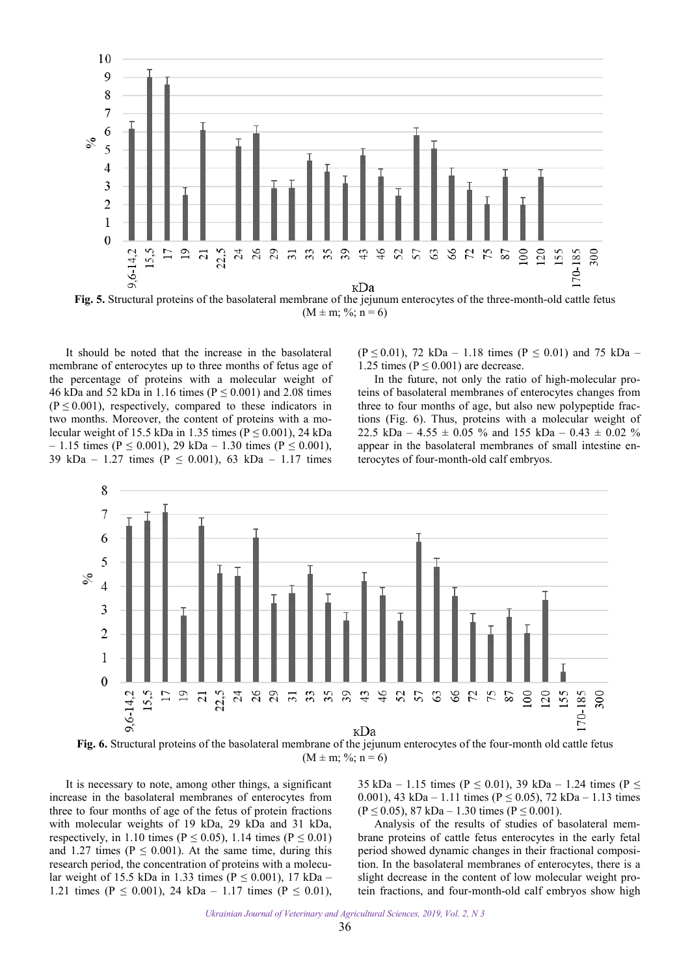

**Fig. 5.** Structural proteins of the basolateral membrane of the jejunum enterocytes of the three-month-old cattle fetus  $(M \pm m; \%; n = 6)$ 

It should be noted that the increase in the basolateral membrane of enterocytes up to three months of fetus age of the percentage of proteins with a molecular weight of 46 kDa and 52 kDa in 1.16 times ( $P \le 0.001$ ) and 2.08 times  $(P \le 0.001)$ , respectively, compared to these indicators in two months. Moreover, the content of proteins with a molecular weight of 15.5 kDa in 1.35 times ( $P \le 0.001$ ), 24 kDa  $- 1.15$  times (P ≤ 0.001), 29 kDa – 1.30 times (P ≤ 0.001), 39 kDa – 1.27 times ( $P \le 0.001$ ), 63 kDa – 1.17 times

(P  $\leq$  0.01), 72 kDa – 1.18 times (P  $\leq$  0.01) and 75 kDa – 1.25 times ( $P \le 0.001$ ) are decrease.

In the future, not only the ratio of high-molecular proteins of basolateral membranes of enterocytes changes from three to four months of age, but also new polypeptide fractions (Fig. 6). Thus, proteins with a molecular weight of 22.5 kDa –  $4.55 \pm 0.05$  % and 155 kDa –  $0.43 \pm 0.02$  % appear in the basolateral membranes of small intestine enterocytes of four-month-old calf embryos.



**Fig. 6.** Structural proteins of the basolateral membrane of the jejunum enterocytes of the four-month old cattle fetus  $(M \pm m; \frac{6}{3}; n = 6)$ 

It is necessary to note, among other things, a significant increase in the basolateral membranes of enterocytes from three to four months of age of the fetus of protein fractions with molecular weights of 19 kDa, 29 kDa and 31 kDa, respectively, in 1.10 times ( $P \le 0.05$ ), 1.14 times ( $P \le 0.01$ ) and 1.27 times ( $P \le 0.001$ ). At the same time, during this research period, the concentration of proteins with a molecular weight of 15.5 kDa in 1.33 times ( $P \le 0.001$ ), 17 kDa – 1.21 times ( $P \le 0.001$ ), 24 kDa – 1.17 times ( $P \le 0.01$ ),

35 kDa – 1.15 times (P  $\leq$  0.01), 39 kDa – 1.24 times (P  $\leq$ 0.001), 43 kDa – 1.11 times ( $P \le 0.05$ ), 72 kDa – 1.13 times  $(P \le 0.05)$ , 87 kDa – 1.30 times  $(P \le 0.001)$ .

Analysis of the results of studies of basolateral membrane proteins of cattle fetus enterocytes in the early fetal period showed dynamic changes in their fractional composition. In the basolateral membranes of enterocytes, there is a slight decrease in the content of low molecular weight protein fractions, and four-month-old calf embryos show high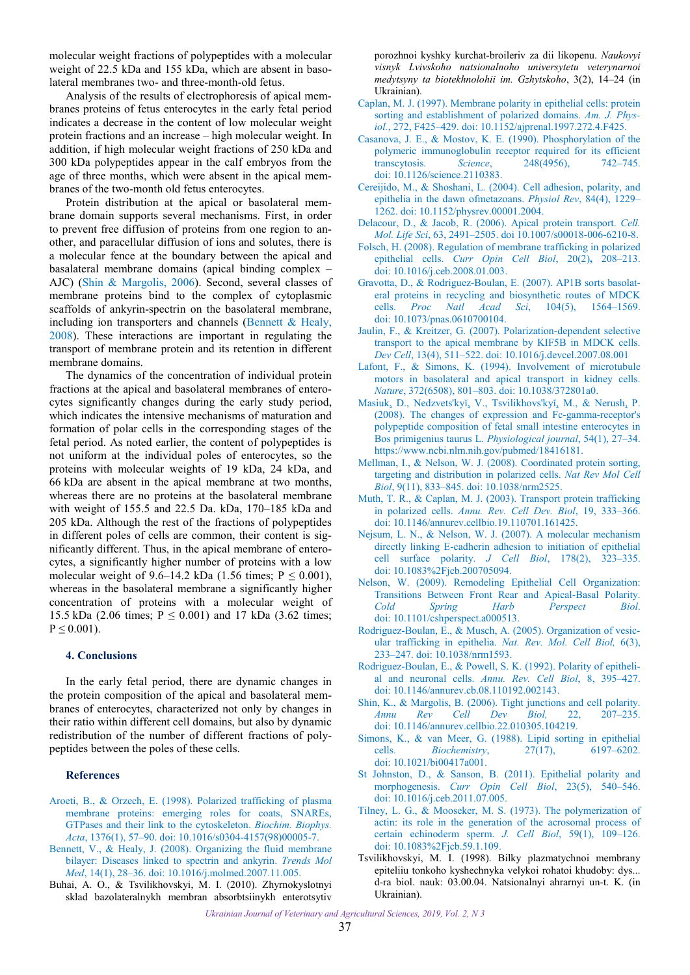<span id="page-5-0"></span>molecular weight fractions of polypeptides with a molecular weight of 22.5 kDa and 155 kDa, which are absent in basolateral membranes two- and three-month-old fetus.

Analysis of the results of electrophoresis of apical membranes proteins of fetus enterocytes in the early fetal period indicates a decrease in the content of low molecular weight protein fractions and an increase – high molecular weight. In addition, if high molecular weight fractions of 250 kDa and 300 kDa polypeptides appear in the calf embryos from the age of three months, which were absent in the apical membranes of the two-month old fetus enterocytes.

Protein distribution at the apical or basolateral membrane domain supports several mechanisms. First, in order to prevent free diffusion of proteins from one region to another, and paracellular diffusion of ions and solutes, there is a molecular fence at the boundary between the apical and basalateral membrane domains (apical binding complex – AJC) (Shin & Margolis, 2006). Second, several classes of membrane proteins bind to the complex of cytoplasmic scaffolds of ankyrin-spectrin on the basolateral membrane, including ion transporters and channels (Bennett & Healy, 2008). These interactions are important in regulating the transport of membrane protein and its retention in different membrane domains.

The dynamics of the concentration of individual protein fractions at the apical and basolateral membranes of enterocytes significantly changes during the early study period, which indicates the intensive mechanisms of maturation and formation of polar cells in the corresponding stages of the fetal period. As noted earlier, the content of polypeptides is not uniform at the individual poles of enterocytes, so the proteins with molecular weights of 19 kDa, 24 kDa, and 66 kDa are absent in the apical membrane at two months, whereas there are no proteins at the basolateral membrane with weight of 155.5 and 22.5 Da. kDa, 170–185 kDa and 205 kDa. Although the rest of the fractions of polypeptides in different poles of cells are common, their content is significantly different. Thus, in the apical membrane of enterocytes, a significantly higher number of proteins with a low molecular weight of 9.6–14.2 kDa (1.56 times;  $P \le 0.001$ ), whereas in the basolateral membrane a significantly higher concentration of proteins with a molecular weight of 15.5 kDa (2.06 times;  $P \le 0.001$ ) and 17 kDa (3.62 times;  $P \leq 0.001$ ).

### **4. Conclusions**

In the early fetal period, there are dynamic changes in the protein composition of the apical and basolateral membranes of enterocytes, characterized not only by changes in their ratio within different cell domains, but also by dynamic redistribution of the number of different fractions of polypeptides between the poles of these cells.

#### **References**

- Aroeti, B., & Orzech, E. (1998). Polarized trafficking of plasma membrane proteins: emerging roles for coats, SNAREs, GTPases and their link to the cytoskeleton. *Biochim. Biophys. Acta*, 1376(1), 57–90. doi: [10.1016/s0304-4157\(98\)00005-7.](https://doi.org/10.1016/s0304-4157(98)00005-7)
- Bennett, V., & Healy, J. (2008). Organizing the fluid membrane [bilayer: Diseases linked to spectrin and ankyrin.](https://doi.org/10.1016/j.molmed.2007.11.005) *Trends Mol Med*, 14(1), 28–36. doi: [10.1016/j.molmed.2007.11.005.](https://www.researchgate.net/deref/http%3A%2F%2Fdx.doi.org%2F10.1016%2Fj.molmed.2007.11.005)
- Buhai, A. O., & Tsvilikhovskyi, M. I. (2010). Zhyrnokyslotnyi sklad bazolateralnykh membran absorbtsiinykh enterotsytiv

porozhnoi kyshky kurchat-broileriv za dii likopenu. *Naukovyi visnyk Lvivskoho natsionalnoho universytetu veterynarnoi medytsyny ta biotekhnolohii im. Gzhytskoho*, 3(2), 14–24 (in Ukrainian).

- Caplan, M. J. (1997). Membrane polarity in epithelial cells: protein sorting and establishment of polarized domains. *Am. J. Physiol.*, 272, F425–429. [doi: 10.1152/ajprenal.1997.272.4.F425.](https://doi.org/10.1152/ajprenal.1997.272.4.F425)
- Casanova, J. E., & Mostov, K. E. (1990). Phosphorylation of the [polymeric immunoglobulin receptor required for its efficient](https://doi.org/10.1126/science.2110383)  transcytosis. *Science*, 248(4956), 742–745. doi: 10.1126/science.2110383.
- Cereijido, M., & Shoshani, [L. \(2004\). Cell adhesion, polarity, and](https://doi.org/10.1152/physrev.00001.2004)  epithelia in the dawn ofmetazoans. *Physiol Rev*, 84(4), 1229– 1262. doi: 10.1152/physrev.00001.2004.
- Delacour, D., & Jacob, R. (2006). Apical protein transport. *Cell. Mol. Life Sci*, 63, 2491–2505. doi [10.1007/s00018-006-6210-8.](https://doi.org/10.1007/s00018-006-6210-8)
- Folsch, [H. \(2008\). Regulation of membrane trafficking in polarized](https://doi.org/10.1016/j.ceb.2008.01.003)  epithelial cells. *Curr Opin Cell Biol*, 20(2)**,** 208–213. doi: 10.1016/j.ceb.2008.01.003.
- Gravotta, D., & Rodriguez-Boulan, E. (2007). AP1B sorts basolat[eral proteins in recycling and biosynthetic routes of MDCK](https://doi.org/10.1073/pnas.0610700104)  cells. *Proc Natl Acad Sci*, 104(5), 1564–1569. doi: 10.1073/pnas.0610700104.
- Jaulin, F., & Kreitzer, G. (2007). Polarization-dependent selective [transport to the apical membrane by KIF5B in MDCK cells.](https://doi.org/10.1016/j.devcel.2007.08.001)  *Dev Cell*, 13(4), 511–522. doi: 10.1016/j.devcel.2007.08.001
- Lafont, F., & Simons, K. (1994). Involvement of microtubule [motors in basolateral and apical transport in kidney cells.](https://doi.org/10.1038/372801a0)  *Nature*, 372(6508), 801–803. doi: 10.1038/372801a0.
- Masiuk, D., Nedzvets'kyĭ, V., Tsvilikhovs'kyĭ, M., & Nerush, P. (2008). The changes of expression and Fc-gamma-receptor's [polypeptide composition of fetal small intestine enterocytes in](https://www.ncbi.nlm.nih.gov/pubmed/18416181)  Bos primigenius taurus L. *Physiological journal*, 54(1), 27–34. https://www.ncbi.nlm.nih.gov/pubmed/18416181.
- Mellman, I., & Nelson, W. J. (2008). Coordinated protein sorting, [targeting and distribution in polarized cells.](https://doi.org/10.1038/nrm2525) *Nat Rev Mol Cell Biol*, 9(11), 833–845. doi: 10.1038/nrm2525.
- Muth, T. R., & Caplan, M. J. (2003). Transport protein trafficking in polarized cells. *Annu. Rev. Cell Dev. Biol*, 19, 333–366. doi: [10.1146/annurev.cellbio.19.110701.161425.](https://doi.org/10.1146/annurev.cellbio.19.110701.161425)
- Nejsum, L. N., & Nelson, W. J. (2007). A molecular mechanism [directly linking E-cadherin adhesion to initiation of epithelial](https://doi.org/10.1083%2Fjcb.200705094)  cell surface polarity. *J Cell Biol*, 178(2), 323–335. doi: 10.1083%2Fjcb.200705094.
- Nelson, W. (2009). Remodeling Epithelial Cell Organization: Transitions Between Front Rear and Apical-Basal Polarity. *Cold Spring Harb Perspect Biol*. doi: [10.1101/cshperspect.a000513.](https://doi.org/10.1101/cshperspect.a000513)
- Rodriguez-Boulan, E., & Musch, A. (2005). Organization of vesicular trafficking in epithelia. *[Nat. Rev. Mol. Cell Biol,](https://doi.org/10.1038/nrm1593)* 6(3), 233–247. doi: 10.1038/nrm1593.
- Rodriguez-Boulan, E., & Powell, S. K. (1992). Polarity of epithelial and neuronal cells. *Annu. Rev. Cell Biol*, 8, 395–427. doi: [10.1146/annurev.cb.08.110192.002143.](https://doi.org/10.1146/annurev.cb.08.110192.002143)
- Shin, K., & Margolis, [B. \(2006\). Tight junctions and cell polarity.](https://doi.org/10.1146/annurev.cellbio.22.010305.104219)  *Annu Rev Cell Dev Biol,* 22, 207–235. doi: 10.1146/annurev.cellbio.22.010305.104219.
- Simons, K., & van Meer, G. (1988). Lipid sorting in epithelial cells. *Biochemistry*, [27\(17\), 6197–6202.](https://doi.org/10.1021/bi00417a001) doi: 10.1021/bi00417a001.
- St Johnston, D., & Sanson, [B. \(2011\). Epithelial polarity and](https://doi.org/10.1016/j.ceb.2011.07.005)  morphogenesis. *Curr Opin Cell Biol*, 23(5), 540–546. doi: 10.1016/j.ceb.2011.07.005.
- Tilney, L. G., & Mooseker, M. S. (1973). The polymerization of [actin: its role in the generation of the acrosomal process of](https://doi.org/10.1083%2Fjcb.59.1.109)  certain echinoderm sperm. *J. Cell Biol*, 59(1), 109–126. doi: 10.1083%2Fjcb.59.1.109.
- Tsvilikhovskyi, M. I. (1998). Bilky plazmatychnoi membrany epiteliiu tonkoho kyshechnyka velykoi rohatoi khudoby: dys... d-ra biol. nauk: 03.00.04. Natsionalnyi ahrarnyi un-t. K. (in Ukrainian).

*Ukrainian Journal of Veterinary and Agricultural Sciences, 2019, Vol. 2, N 3*